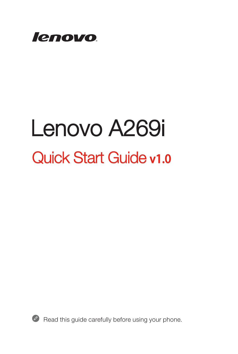

# Lenovo A269i Quick Start Guide v1.0



Read this guide carefully before using your phone.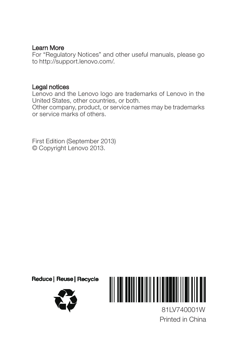#### Learn More

For "Regulatory Notices" and other useful manuals, please go to http://support.lenovo.com/.

#### Legal notices

Lenovo and the Lenovo logo are trademarks of Lenovo in the United States, other countries, or both.

Other company, product, or service names may be trademarks or service marks of others.

First Edition (September 2013) © Copyright Lenovo 2013.



Printed in China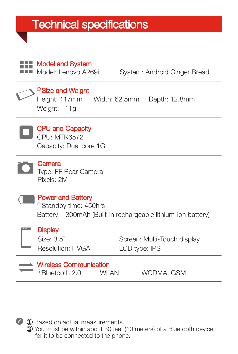### **Technical specifications**

Model and System

| <b>INIUUDI GIILI OYSLOI II</b><br>Model: Lenovo A269i                                                                          |               | System: Android Ginger Bread |
|--------------------------------------------------------------------------------------------------------------------------------|---------------|------------------------------|
| <sup>3</sup> Size and Weight<br>Height: 117mm<br>Weight: 111g                                                                  | Width: 62.5mm | Depth: 12.8mm                |
| <b>CPU and Capacity</b><br><b>CPU: MTK6572</b><br>Capacity: Dual core 1G                                                       |               |                              |
| Camera<br>Type: FF Rear Camera<br>Pixels: 2M                                                                                   |               |                              |
| <b>Power and Battery</b><br><sup>10</sup> Standby time: 450hrs<br>Battery: 1300mAh (Built-in rechargeable lithium-ion battery) |               |                              |
| <b>Display</b><br>Size: 3.5"<br>Resolution: HVGA                                                                               | LCD type: IPS | Screen: Multi-Touch display  |
| <b>Wireless Communication</b><br><sup>22</sup> Bluetooth 2.0                                                                   | WI AN         | WCDMA, GSM                   |



① Based on actual measurements. ② You must be within about 30 feet (10 meters) of a Bluetooth device for it to be connected to the phone.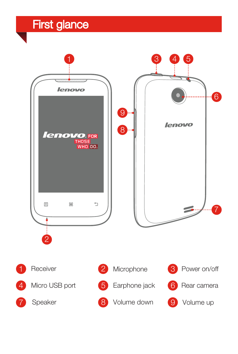### First glance

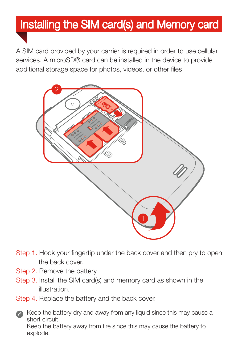## Installing the SIM card(s) and Memory card

A SIM card provided by your carrier is required in order to use cellular services. A microSD® card can be installed in the device to provide additional storage space for photos, videos, or other files.



- Step 1. Hook your fingertip under the back cover and then pry to open the back cover.
- Step 2. Remove the battery.
- Step 3. Install the SIM card(s) and memory card as shown in the illustration.
- Step 4. Replace the battery and the back cover.



explode.